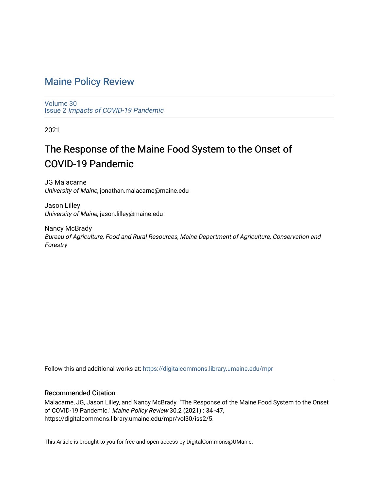## [Maine Policy Review](https://digitalcommons.library.umaine.edu/mpr)

[Volume 30](https://digitalcommons.library.umaine.edu/mpr/vol30) Issue 2 [Impacts of COVID-19 Pandemic](https://digitalcommons.library.umaine.edu/mpr/vol30/iss2)

2021

## The Response of the Maine Food System to the Onset of COVID-19 Pandemic

JG Malacarne University of Maine, jonathan.malacarne@maine.edu

Jason Lilley University of Maine, jason.lilley@maine.edu

Nancy McBrady Bureau of Agriculture, Food and Rural Resources, Maine Department of Agriculture, Conservation and Forestry

Follow this and additional works at: [https://digitalcommons.library.umaine.edu/mpr](https://digitalcommons.library.umaine.edu/mpr?utm_source=digitalcommons.library.umaine.edu%2Fmpr%2Fvol30%2Fiss2%2F5&utm_medium=PDF&utm_campaign=PDFCoverPages)

#### Recommended Citation

Malacarne, JG, Jason Lilley, and Nancy McBrady. "The Response of the Maine Food System to the Onset of COVID-19 Pandemic." Maine Policy Review 30.2 (2021) : 34 -47, https://digitalcommons.library.umaine.edu/mpr/vol30/iss2/5.

This Article is brought to you for free and open access by DigitalCommons@UMaine.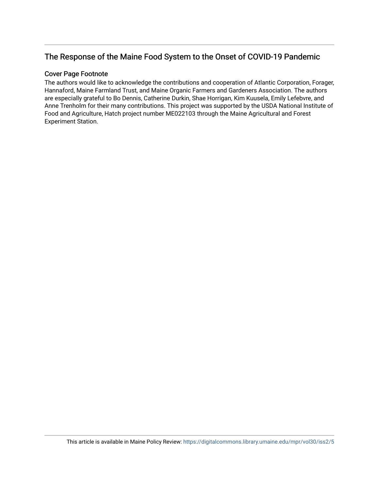### The Response of the Maine Food System to the Onset of COVID-19 Pandemic

#### Cover Page Footnote

The authors would like to acknowledge the contributions and cooperation of Atlantic Corporation, Forager, Hannaford, Maine Farmland Trust, and Maine Organic Farmers and Gardeners Association. The authors are especially grateful to Bo Dennis, Catherine Durkin, Shae Horrigan, Kim Kuusela, Emily Lefebvre, and Anne Trenholm for their many contributions. This project was supported by the USDA National Institute of Food and Agriculture, Hatch project number ME022103 through the Maine Agricultural and Forest Experiment Station.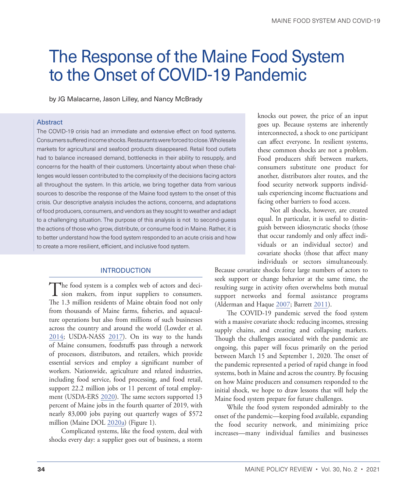# The Response of the Maine Food System to the Onset of COVID-19 Pandemic

by JG Malacarne, Jason Lilley, and Nancy McBrady

#### Abstract

The COVID-19 crisis had an immediate and extensive effect on food systems. Consumers suffered income shocks. Restaurants were forced to close. Wholesale markets for agricultural and seafood products disappeared. Retail food outlets had to balance increased demand, bottlenecks in their ability to resupply, and concerns for the health of their customers. Uncertainty about when these challenges would lessen contributed to the complexity of the decisions facing actors all throughout the system. In this article, we bring together data from various sources to describe the response of the Maine food system to the onset of this crisis. Our descriptive analysis includes the actions, concerns, and adaptations of food producers, consumers, and vendors as they sought to weather and adapt to a challenging situation. The purpose of this analysis is not to second-guess the actions of those who grow, distribute, or consume food in Maine. Rather, it is to better understand how the food system responded to an acute crisis and how to create a more resilient, efficient, and inclusive food system.

#### INTRODUCTION

The food system is a complex web of actors and deci-<br>sion makers, from input suppliers to consumers. The 1.3 million residents of Maine obtain food not only from thousands of Maine farms, fisheries, and aquaculture operations but also from millions of such businesses across the country and around the world (Lowder et al. [2014](#page-14-0); USDA-NASS [2017](#page-15-0)). On its way to the hands of Maine consumers, foodstuffs pass through a network of processors, distributors, and retailers, which provide essential services and employ a significant number of workers. Nationwide, agriculture and related industries, including food service, food processing, and food retail, support 22.2 million jobs or 11 percent of total employment (USDA-ERS [2020\)](#page-15-1). The same sectors supported 13 percent of Maine jobs in the fourth quarter of 2019, with nearly 83,000 jobs paying out quarterly wages of \$572 million (Maine DOL [2020a\)](#page-14-1) (Figure 1).

Complicated systems, like the food system, deal with shocks every day: a supplier goes out of business, a storm

knocks out power, the price of an input goes up. Because systems are inherently interconnected, a shock to one participant can affect everyone. In resilient systems, these common shocks are not a problem. Food producers shift between markets, consumers substitute one product for another, distributors alter routes, and the food security network supports individuals experiencing income fluctuations and facing other barriers to food access.

Not all shocks, however, are created equal. In particular, it is useful to distinguish between idiosyncratic shocks (those that occur randomly and only affect individuals or an individual sector) and covariate shocks (those that affect many individuals or sectors simultaneously.

Because covariate shocks force large numbers of actors to seek support or change behavior at the same time, the resulting surge in activity often overwhelms both mutual support networks and formal assistance programs (Alderman and Haque [2007;](#page-14-2) Barrett [2011](#page-14-3)).

The COVID-19 pandemic served the food system with a massive covariate shock: reducing incomes, stressing supply chains, and creating and collapsing markets. Though the challenges associated with the pandemic are ongoing, this paper will focus primarily on the period between March 15 and September 1, 2020. The onset of the pandemic represented a period of rapid change in food systems, both in Maine and across the country. By focusing on how Maine producers and consumers responded to the initial shock, we hope to draw lessons that will help the Maine food system prepare for future challenges.

While the food system responded admirably to the onset of the pandemic—keeping food available, expanding the food security network, and minimizing price increases—many individual families and businesses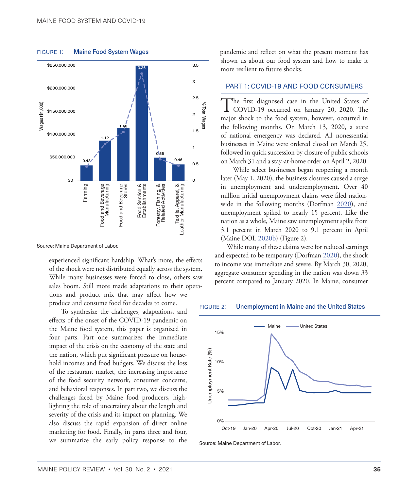

#### FIGURE 1: Maine Food System Wages

Source: Maine Department of Labor.

experienced significant hardship. What's more, the effects of the shock were not distributed equally across the system. While many businesses were forced to close, others saw sales boom. Still more made adaptations to their operations and product mix that may affect how we produce and consume food for decades to come.

To synthesize the challenges, adaptations, and effects of the onset of the COVID-19 pandemic on the Maine food system, this paper is organized in four parts. Part one summarizes the immediate impact of the crisis on the economy of the state and the nation, which put significant pressure on household incomes and food budgets. We discuss the loss of the restaurant market, the increasing importance of the food security network, consumer concerns, and behavioral responses. In part two, we discuss the challenges faced by Maine food producers, highlighting the role of uncertainty about the length and severity of the crisis and its impact on planning. We also discuss the rapid expansion of direct online marketing for food. Finally, in parts three and four, we summarize the early policy response to the pandemic and reflect on what the present moment has shown us about our food system and how to make it more resilient to future shocks.

#### PART 1: COVID-19 AND FOOD CONSUMERS

The first diagnosed case in the United States of COVID-19 occurred on January 20, 2020. The major shock to the food system, however, occurred in the following months. On March 13, 2020, a state of national emergency was declared. All nonessential businesses in Maine were ordered closed on March 25, followed in quick succession by closure of public schools on March 31 and a stay-at-home order on April 2, 2020.

While select businesses began reopening a month later (May 1, 2020), the business closures caused a surge in unemployment and underemployment. Over 40 million initial unemployment claims were filed nationwide in the following months (Dorfman [2020](#page-14-4)), and unemployment spiked to nearly 15 percent. Like the nation as a whole, Maine saw unemployment spike from 3.1 percent in March 2020 to 9.1 percent in April (Maine DOL [2020b\)](#page-15-2) (Figure 2).

While many of these claims were for reduced earnings and expected to be temporary (Dorfman [2020](#page-14-4)), the shock to income was immediate and severe. By March 30, 2020, aggregate consumer spending in the nation was down 33 percent compared to January 2020. In Maine, consumer

#### figure 2: Unemployment in Maine and the United States



Source: Maine Department of Labor.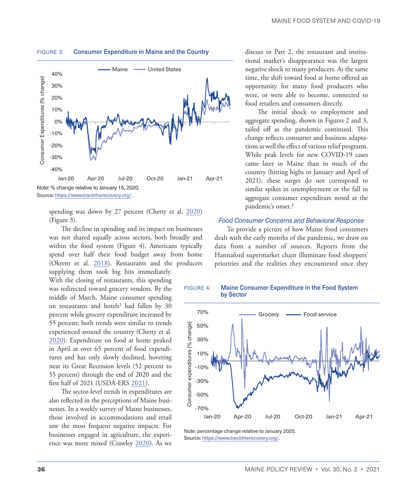

#### <span id="page-4-0"></span>FIGURE 3: Consumer Expenditure in Maine and the Country

spending was down by 27 percent (Chetty et al. [2020\)](#page-14-5) (Figure 3).

The decline in spending and its impact on businesses was not shared equally across sectors, both broadly and within the food system (Figure 4). Americans typically spend over half their food budget away from home (Okrent et al. [2018](#page-15-3)). Restaurants and the producers supplying them took big hits immediately.

With the closing of restaurants, this spending was redirected toward grocery vendors. By the middle of March, Maine consumer spending on restaurants and hotels<sup>[1](#page-13-0)</sup> had fallen by 30 percent while grocery expenditure increased by 55 percent; both trends were similar to trends experienced around the country (Chetty et al. [2020](#page-14-5)). Expenditure on food at home peaked in April at over 65 percent of food expenditures and has only slowly declined, hovering near its Great Recession levels (52 percent to 55 percent) through the end of 2020 and the first half of 2021 (USDA-ERS [2021\)](#page-15-4).

The sector-level trends in expenditures are also reflected in the perceptions of Maine businesses. In a weekly survey of Maine businesses, those involved in accommodations and retail saw the most frequent negative impacts. For businesses engaged in agriculture, the experience was more mixed (Crawley [2020](#page-14-6)). As we discuss in Part 2, the restaurant and institutional market's disappearance was the largest negative shock to many producers. At the same time, the shift toward food at home offered an opportunity for many food producers who were, or were able to become, connected to food retailers and consumers directly.

The initial shock to employment and aggregate spending, shown in Figures 2 and 3, tailed off as the pandemic continued. This change reflects consumer and business adaptations as well the effect of various relief programs. While peak levels for new COVID-19 cases came later in Maine than in much of the country (hitting highs in January and April of 2021), these surges do not correspond to similar spikes in unemployment or the fall in aggregate consumer expenditure noted at the pandemic's onset.<sup>[2](#page-13-0)</sup>

#### *Food Consumer Concerns and Behavioral Response*

To provide a picture of how Maine food consumers dealt with the early months of the pandemic, we draw on data from a number of sources. Reports from the Hannaford supermarket chain illuminate food shoppers' priorities and the realities they encountered once they



FIGURE 4: Maine Consumer Expenditure in the Food System by Sector

Note: percentage change relative to January 2020. Source: <https://www.tracktherecovery.org/>.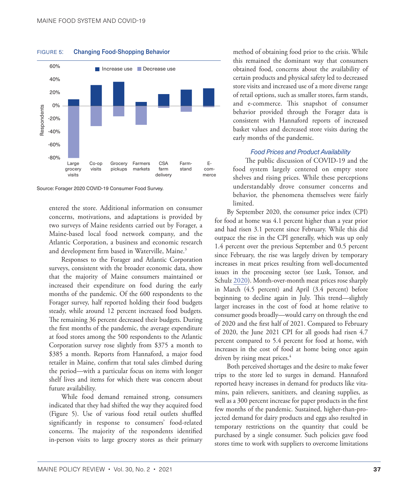

<span id="page-5-0"></span>FIGURE 5: Changing Food-Shopping Behavior

Source: Forager 2020 COVID-19 Consumer Food Survey.

entered the store. Additional information on consumer concerns, motivations, and adaptations is provided by two surveys of Maine residents carried out by Forager, a Maine-based local food network company, and the Atlantic Corporation, a business and economic research and development firm based in Waterville, Maine.<sup>3</sup>

Responses to the Forager and Atlantic Corporation surveys, consistent with the broader economic data, show that the majority of Maine consumers maintained or increased their expenditure on food during the early months of the pandemic. Of the 600 respondents to the Forager survey, half reported holding their food budgets steady, while around 12 percent increased food budgets. The remaining 36 percent decreased their budgets. During the first months of the pandemic, the average expenditure at food stores among the 500 respondents to the Atlantic Corporation survey rose slightly from \$375 a month to \$385 a month. Reports from Hannaford, a major food retailer in Maine, confirm that total sales climbed during the period—with a particular focus on items with longer shelf lives and items for which there was concern about future availability.

While food demand remained strong, consumers indicated that they had shifted the way they acquired food (Figure 5). Use of various food retail outlets shuffled significantly in response to consumers' food-related concerns. The majority of the respondents identified in-person visits to large grocery stores as their primary method of obtaining food prior to the crisis. While this remained the dominant way that consumers obtained food, concerns about the availability of certain products and physical safety led to decreased store visits and increased use of a more diverse range of retail options, such as smaller stores, farm stands, and e-commerce. This snapshot of consumer behavior provided through the Forager data is consistent with Hannaford reports of increased basket values and decreased store visits during the early months of the pandemic.

#### *Food Prices and Product Availability*

The public discussion of COVID-19 and the food system largely centered on empty store shelves and rising prices. While these perceptions understandably drove consumer concerns and behavior, the phenomena themselves were fairly limited.

By September 2020, the consumer price index (CPI) for food at home was 4.1 percent higher than a year prior and had risen 3.1 percent since February. While this did outpace the rise in the CPI generally, which was up only 1.4 percent over the previous September and 0.5 percent since February, the rise was largely driven by temporary increases in meat prices resulting from well-documented issues in the processing sector (see Lusk, Tonsor, and Schulz [2020\)](#page-14-7). Month-over-month meat prices rose sharply in March (4.5 percent) and April (3.4 percent) before beginning to decline again in July. This trend—slightly larger increases in the cost of food at home relative to consumer goods broadly—would carry on through the end of 2020 and the first half of 2021. Compared to February of 2020, the June 2021 CPI for all goods had risen 4.7 percent compared to 5.4 percent for food at home, with increases in the cost of food at home being once again driven by rising meat prices.<sup>4</sup>

Both perceived shortages and the desire to make fewer trips to the store led to surges in demand. Hannaford reported heavy increases in demand for products like vitamins, pain relievers, sanitizers, and cleaning supplies, as well as a 300 percent increase for paper products in the first few months of the pandemic. Sustained, higher-than-projected demand for dairy products and eggs also resulted in temporary restrictions on the quantity that could be purchased by a single consumer. Such policies gave food stores time to work with suppliers to overcome limitations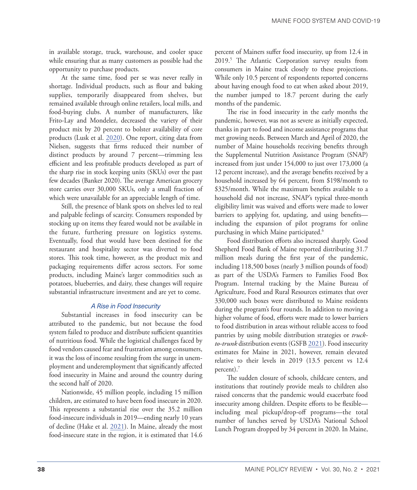<span id="page-6-0"></span>in available storage, truck, warehouse, and cooler space while ensuring that as many customers as possible had the opportunity to purchase products.

At the same time, food per se was never really in shortage. Individual products, such as flour and baking supplies, temporarily disappeared from shelves, but remained available through online retailers, local mills, and food-buying clubs. A number of manufacturers, like Frito-Lay and Mondelez, decreased the variety of their product mix by 20 percent to bolster availability of core products (Lusk et al. [2020](#page-14-8)). One report, citing data from Nielsen, suggests that firms reduced their number of distinct products by around 7 percent—trimming less efficient and less profitable products developed as part of the sharp rise in stock keeping units (SKUs) over the past few decades (Banker 2020). The average American grocery store carries over 30,000 SKUs, only a small fraction of which were unavailable for an appreciable length of time.

Still, the presence of blank spots on shelves led to real and palpable feelings of scarcity. Consumers responded by stocking up on items they feared would not be available in the future, furthering pressure on logistics systems. Eventually, food that would have been destined for the restaurant and hospitality sector was diverted to food stores. This took time, however, as the product mix and packaging requirements differ across sectors. For some products, including Maine's larger commodities such as potatoes, blueberries, and dairy, these changes will require substantial infrastructure investment and are yet to come.

#### *A Rise in Food Insecurity*

Substantial increases in food insecurity can be attributed to the pandemic, but not because the food system failed to produce and distribute sufficient quantities of nutritious food. While the logistical challenges faced by food vendors caused fear and frustration among consumers, it was the loss of income resulting from the surge in unemployment and underemployment that significantly affected food insecurity in Maine and around the country during the second half of 2020.

Nationwide, 45 million people, including 15 million children, are estimated to have been food insecure in 2020. This represents a substantial rise over the 35.2 million food-insecure individuals in 2019—ending nearly 10 years of decline (Hake et al. [2021\)](#page-14-9). In Maine, already the most food-insecure state in the region, it is estimated that 14.6 percent of Mainers suffer food insecurity, up from 12.4 in 2019.[5](#page-14-10) The Atlantic Corporation survey results from consumers in Maine track closely to these projections. While only 10.5 percent of respondents reported concerns about having enough food to eat when asked about 2019, the number jumped to 18.7 percent during the early months of the pandemic.

The rise in food insecurity in the early months the pandemic, however, was not as severe as initially expected, thanks in part to food and income assistance programs that met growing needs. Between March and April of 2020, the number of Maine households receiving benefits through the Supplemental Nutrition Assistance Program (SNAP) increased from just under 154,000 to just over 173,000 (a 12 percent increase), and the average benefits received by a household increased by 64 percent, from \$198/month to \$325/month. While the maximum benefits available to a household did not increase, SNAP's typical three-month eligibility limit was waived and efforts were made to lower barriers to applying for, updating, and using benefits including the expansion of pilot programs for online purchasing in which Maine participated.<sup>6</sup>

Food distribution efforts also increased sharply. Good Shepherd Food Bank of Maine reported distributing 31.7 million meals during the first year of the pandemic, including 118,500 boxes (nearly 3 million pounds of food) as part of the USDA's Farmers to Families Food Box Program. Internal tracking by the Maine Bureau of Agriculture, Food and Rural Resources estimates that over 330,000 such boxes were distributed to Maine residents during the program's four rounds. In addition to moving a higher volume of food, efforts were made to lower barriers to food distribution in areas without reliable access to food pantries by using mobile distribution strategies or *truckto-trunk* distribution events (GSFB [2021](#page-14-11)). Food insecurity estimates for Maine in 2021, however, remain elevated relative to their levels in 2019 (13.5 percent vs 12.4 percent)[.7](#page-14-10)

The sudden closure of schools, childcare centers, and institutions that routinely provide meals to children also raised concerns that the pandemic would exacerbate food insecurity among children. Despite efforts to be flexible including meal pickup/drop-off programs—the total number of lunches served by USDA's National School Lunch Program dropped by 34 percent in 2020. In Maine,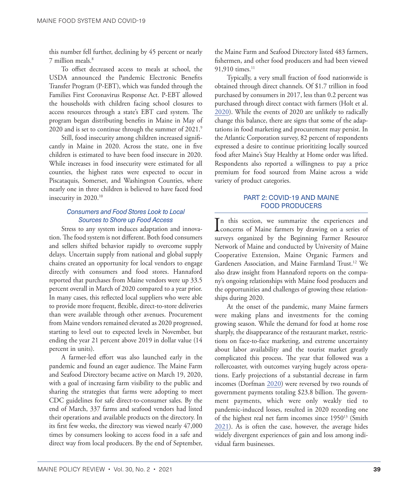<span id="page-7-0"></span>this number fell further, declining by 45 percent or nearly 7 million meals[.8](#page-14-10)

To offset decreased access to meals at school, the USDA announced the Pandemic Electronic Benefits Transfer Program (P-EBT), which was funded through the Families First Coronavirus Response Act. P-EBT allowed the households with children facing school closures to access resources through a state's EBT card system. The program began distributing benefits in Maine in May of 2020 and is set to continue through the summer of 2021.<sup>9</sup>

Still, food insecurity among children increased significantly in Maine in 2020. Across the state, one in five children is estimated to have been food insecure in 2020. While increases in food insecurity were estimated for all counties, the highest rates were expected to occur in Piscataquis, Somerset, and Washington Counties, where nearly one in three children is believed to have faced food insecurity in 2020[.10](#page-14-10)

#### *Consumers and Food Stores Look to Local Sources to Shore up Food Access*

Stress to any system induces adaptation and innovation. The food system is not different. Both food consumers and sellers shifted behavior rapidly to overcome supply delays. Uncertain supply from national and global supply chains created an opportunity for local vendors to engage directly with consumers and food stores. Hannaford reported that purchases from Maine vendors were up 33.5 percent overall in March of 2020 compared to a year prior. In many cases, this reflected local suppliers who were able to provide more frequent, flexible, direct-to-store deliveries than were available through other avenues. Procurement from Maine vendors remained elevated as 2020 progressed, starting to level out to expected levels in November, but ending the year 21 percent above 2019 in dollar value (14 percent in units).

A farmer-led effort was also launched early in the pandemic and found an eager audience. The Maine Farm and Seafood Directory became active on March 19, 2020, with a goal of increasing farm visibility to the public and sharing the strategies that farms were adopting to meet CDC guidelines for safe direct-to-consumer sales. By the end of March, 337 farms and seafood vendors had listed their operations and available products on the directory. In its first few weeks, the directory was viewed nearly 47,000 times by consumers looking to access food in a safe and direct way from local producers. By the end of September,

the Maine Farm and Seafood Directory listed 483 farmers, fishermen, and other food producers and had been viewed 91,910 times.<sup>11</sup>

Typically, a very small fraction of food nationwide is obtained through direct channels. Of \$1.7 trillion in food purchased by consumers in 2017, less than 0.2 percent was purchased through direct contact with farmers (Holt et al. [2020](#page-14-12)). While the events of 2020 are unlikely to radically change this balance, there are signs that some of the adaptations in food marketing and procurement may persist. In the Atlantic Corporation survey, 82 percent of respondents expressed a desire to continue prioritizing locally sourced food after Maine's Stay Healthy at Home order was lifted. Respondents also reported a willingness to pay a price premium for food sourced from Maine across a wide variety of product categories.

#### PART 2: COVID-19 AND MAINE FOOD PRODUCERS

In this section, we summarize the experiences and<br>concerns of Maine farmers by drawing on a series of n this section, we summarize the experiences and surveys organized by the Beginning Farmer Resource Network of Maine and conducted by University of Maine Cooperative Extension, Maine Organic Farmers and Gardeners Association, and Maine Farmland Trust.<sup>12</sup> We also draw insight from Hannaford reports on the company's ongoing relationships with Maine food producers and the opportunities and challenges of growing these relationships during 2020.

At the onset of the pandemic, many Maine farmers were making plans and investments for the coming growing season. While the demand for food at home rose sharply, the disappearance of the restaurant market, restrictions on face-to-face marketing, and extreme uncertainty about labor availability and the tourist market greatly complicated this process. The year that followed was a rollercoaster, with outcomes varying hugely across operations. Early projections of a substantial decrease in farm incomes (Dorfman [2020\)](#page-14-4) were reversed by two rounds of government payments totaling \$23.8 billion. The government payments, which were only weakly tied to pandemic-induced losses, resulted in 2020 recording one of the highest real net farm incomes since 1950<sup>13</sup> (Smith [2021](#page-15-5)). As is often the case, however, the average hides widely divergent experiences of gain and loss among individual farm businesses.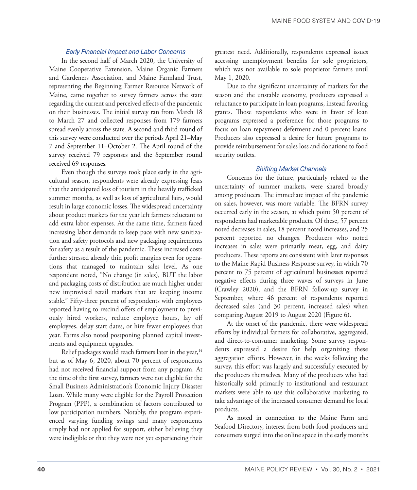#### *Early Financial Impact and Labor Concerns*

<span id="page-8-0"></span>In the second half of March 2020, the University of Maine Cooperative Extension, Maine Organic Farmers and Gardeners Association, and Maine Farmland Trust, representing the Beginning Farmer Resource Network of Maine, came together to survey farmers across the state regarding the current and perceived effects of the pandemic on their businesses. The initial survey ran from March 18 to March 27 and collected responses from 179 farmers spread evenly across the state. A second and third round of this survey were conducted over the periods April 21–May 7 and September 11–October 2. The April round of the survey received 79 responses and the September round received 69 responses.

Even though the surveys took place early in the agricultural season, respondents were already expressing fears that the anticipated loss of tourism in the heavily trafficked summer months, as well as loss of agricultural fairs, would result in large economic losses. The widespread uncertainty about product markets for the year left farmers reluctant to add extra labor expenses. At the same time, farmers faced increasing labor demands to keep pace with new sanitization and safety protocols and new packaging requirements for safety as a result of the pandemic. These increased costs further stressed already thin profit margins even for operations that managed to maintain sales level. As one respondent noted, "No change (in sales), BUT the labor and packaging costs of distribution are much higher under new improvised retail markets that are keeping income stable." Fifty-three percent of respondents with employees reported having to rescind offers of employment to previously hired workers, reduce employee hours, lay off employees, delay start dates, or hire fewer employees that year. Farms also noted postponing planned capital investments and equipment upgrades.

Relief packages would reach farmers later in the year,<sup>14</sup> but as of May 6, 2020, about 70 percent of respondents had not received financial support from any program. At the time of the first survey, farmers were not eligible for the Small Business Administration's Economic Injury Disaster Loan. While many were eligible for the Payroll Protection Program (PPP), a combination of factors contributed to low participation numbers. Notably, the program experienced varying funding swings and many respondents simply had not applied for support, either believing they were ineligible or that they were not yet experiencing their greatest need. Additionally, respondents expressed issues accessing unemployment benefits for sole proprietors, which was not available to sole proprietor farmers until May 1, 2020.

Due to the significant uncertainty of markets for the season and the unstable economy, producers expressed a reluctance to participate in loan programs, instead favoring grants. Those respondents who were in favor of loan programs expressed a preference for those programs to focus on loan repayment deferment and 0 percent loans. Producers also expressed a desire for future programs to provide reimbursement for sales loss and donations to food security outlets.

#### *Shifting Market Channels*

Concerns for the future, particularly related to the uncertainty of summer markets, were shared broadly among producers. The immediate impact of the pandemic on sales, however, was more variable. The BFRN survey occurred early in the season, at which point 50 percent of respondents had marketable products. Of these, 57 percent noted decreases in sales, 18 percent noted increases, and 25 percent reported no changes. Producers who noted increases in sales were primarily meat, egg, and dairy producers. These reports are consistent with later responses to the Maine Rapid Business Response survey, in which 70 percent to 75 percent of agricultural businesses reported negative effects during three waves of surveys in June (Crawley 2020), and the BFRN follow-up survey in September, where 46 percent of respondents reported decreased sales (and 30 percent, increased sales) when comparing August 2019 to August 2020 (Figure 6).

At the onset of the pandemic, there were widespread efforts by individual farmers for collaborative, aggregated, and direct-to-consumer marketing. Some survey respondents expressed a desire for help organizing these aggregation efforts. However, in the weeks following the survey, this effort was largely and successfully executed by the producers themselves. Many of the producers who had historically sold primarily to institutional and restaurant markets were able to use this collaborative marketing to take advantage of the increased consumer demand for local products.

As noted in connection to the Maine Farm and Seafood Directory, interest from both food producers and consumers surged into the online space in the early months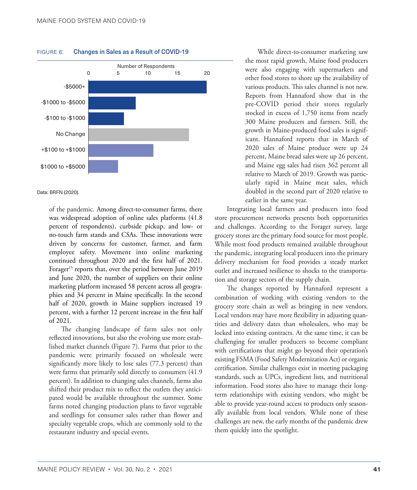

#### <span id="page-9-0"></span>FIGURE 6: Changes in Sales as a Result of COVID-19

Data: BRFN (2020).

of the pandemic. Among direct-to-consumer farms, there was widespread adoption of online sales platforms (41.8 percent of respondents), curbside pickup, and low- or no-touch farm stands and CSAs. These innovations were driven by concerns for customer, farmer, and farm employee safety. Movement into online marketing continued throughout 2020 and the first half of 2021. Forager<sup>15</sup> reports that, over the period between June 2019 and June 2020, the number of suppliers on their online marketing platform increased 58 percent across all geographies and 34 percent in Maine specifically. In the second half of 2020, growth in Maine suppliers increased 19 percent, with a further 12 percent increase in the first half of 2021.

The changing landscape of farm sales not only reflected innovations, but also the evolving use more established market channels (Figure 7). Farms that prior to the pandemic were primarily focused on wholesale were significantly more likely to lose sales (77.3 percent) than were farms that primarily sold directly to consumers (41.9 percent). In addition to changing sales channels, farms also shifted their product mix to reflect the outlets they anticipated would be available throughout the summer. Some farms noted changing production plans to favor vegetable and seedlings for consumer sales rather than flower and specialty vegetable crops, which are commonly sold to the restaurant industry and special events.

While direct-to-consumer marketing saw the most rapid growth, Maine food producers were also engaging with supermarkets and other food stores to shore up the availability of various products. This sales channel is not new. Reports from Hannaford show that in the pre-COVID period their stores regularly stocked in excess of 1,750 items from nearly 300 Maine producers and farmers. Still, the growth in Maine-produced food sales is significant. Hannaford reports that in March of 2020 sales of Maine produce were up 24 percent, Maine bread sales were up 26 percent, and Maine egg sales had risen 362 percent all relative to March of 2019. Growth was particularly rapid in Maine meat sales, which doubled in the second part of 2020 relative to earlier in the same year.

Integrating local farmers and producers into food store procurement networks presents both opportunities and challenges. According to the Forager survey, large grocery stores are the primary food source for most people. While most food products remained available throughout the pandemic, integrating local producers into the primary delivery mechanism for food provides a steady market outlet and increased resilience to shocks to the transportation and storage sectors of the supply chain.

The changes reported by Hannaford represent a combination of working with existing vendors to the grocery store chain as well as bringing in new vendors. Local vendors may have more flexibility in adjusting quantities and delivery dates than wholesalers, who may be locked into existing contracts. At the same time, it can be challenging for smaller producers to become compliant with certifications that might go beyond their operation's existing FSMA (Food Safety Modernization Act) or organic certification. Similar challenges exist in meeting packaging standards, such as UPCs, ingredient lists, and nutritional information. Food stores also have to manage their longterm relationships with existing vendors, who might be able to provide year-round access to products only seasonally available from local vendors. While none of these challenges are new, the early months of the pandemic drew them quickly into the spotlight.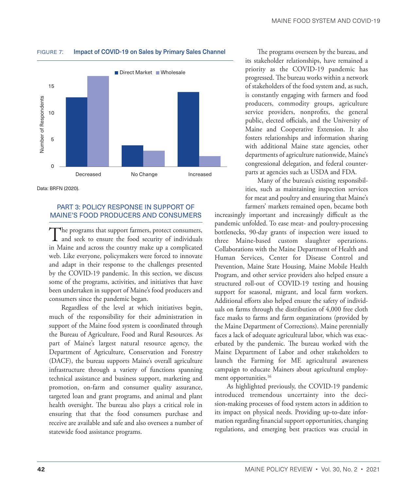

#### <span id="page-10-0"></span>FIGURE 7: Impact of COVID-19 on Sales by Primary Sales Channel

Data: BRFN (2020).

#### PART 3: POLICY RESPONSE IN SUPPORT OF MAINE'S FOOD PRODUCERS AND CONSUMERS

The programs that support farmers, protect consumers,<br>and seek to ensure the food security of individuals in Maine and across the country make up a complicated web. Like everyone, policymakers were forced to innovate and adapt in their response to the challenges presented by the COVID-19 pandemic. In this section, we discuss some of the programs, activities, and initiatives that have been undertaken in support of Maine's food producers and consumers since the pandemic began.

Regardless of the level at which initiatives begin, much of the responsibility for their administration in support of the Maine food system is coordinated through the Bureau of Agriculture, Food and Rural Resources. As part of Maine's largest natural resource agency, the Department of Agriculture, Conservation and Forestry (DACF), the bureau supports Maine's overall agriculture infrastructure through a variety of functions spanning technical assistance and business support, marketing and promotion, on-farm and consumer quality assurance, targeted loan and grant programs, and animal and plant health oversight. The bureau also plays a critical role in ensuring that that the food consumers purchase and receive are available and safe and also oversees a number of statewide food assistance programs.

The programs overseen by the bureau, and its stakeholder relationships, have remained a priority as the COVID-19 pandemic has progressed. The bureau works within a network of stakeholders of the food system and, as such, is constantly engaging with farmers and food producers, commodity groups, agriculture service providers, nonprofits, the general public, elected officials, and the University of Maine and Cooperative Extension. It also fosters relationships and information sharing with additional Maine state agencies, other departments of agriculture nationwide, Maine's congressional delegation, and federal counterparts at agencies such as USDA and FDA.

Many of the bureau's existing responsibilities, such as maintaining inspection services for meat and poultry and ensuring that Maine's farmers' markets remained open, became both

increasingly important and increasingly difficult as the pandemic unfolded. To ease meat- and poultry-processing bottlenecks, 90-day grants of inspection were issued to three Maine-based custom slaughter operations. Collaborations with the Maine Department of Health and Human Services, Center for Disease Control and Prevention, Maine State Housing, Maine Mobile Health Program, and other service providers also helped ensure a structured roll-out of COVID-19 testing and housing support for seasonal, migrant, and local farm workers. Additional efforts also helped ensure the safety of individuals on farms through the distribution of 4,000 free cloth face masks to farms and farm organizations (provided by the Maine Department of Corrections). Maine perennially faces a lack of adequate agricultural labor, which was exacerbated by the pandemic. The bureau worked with the Maine Department of Labor and other stakeholders to launch the Farming for ME agricultural awareness campaign to educate Mainers about agricultural employment opportunities.<sup>16</sup>

As highlighted previously, the COVID-19 pandemic introduced tremendous uncertainty into the decision-making processes of food system actors in addition to its impact on physical needs. Providing up-to-date information regarding financial support opportunities, changing regulations, and emerging best practices was crucial in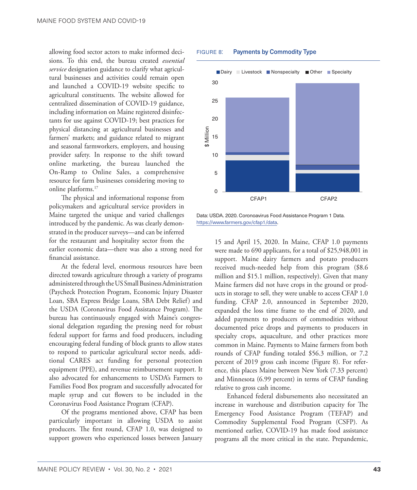<span id="page-11-0"></span>allowing food sector actors to make informed decisions. To this end, the bureau created *essential service* designation guidance to clarify what agricultural businesses and activities could remain open and launched a COVID-19 website specific to agricultural constituents. The website allowed for centralized dissemination of COVID-19 guidance, including information on Maine registered disinfectants for use against COVID-19; best practices for physical distancing at agricultural businesses and farmers' markets; and guidance related to migrant and seasonal farmworkers, employers, and housing provider safety. In response to the shift toward online marketing, the bureau launched the On-Ramp to Online Sales, a comprehensive resource for farm businesses considering moving to online platforms[.17](#page-14-10)

The physical and informational response from policymakers and agricultural service providers in Maine targeted the unique and varied challenges introduced by the pandemic. As was clearly demonstrated in the producer surveys—and can be inferred for the restaurant and hospitality sector from the earlier economic data—there was also a strong need for financial assistance.

At the federal level, enormous resources have been directed towards agriculture through a variety of programs administered through the US Small Business Administration (Paycheck Protection Program, Economic Injury Disaster Loan, SBA Express Bridge Loans, SBA Debt Relief) and the USDA (Coronavirus Food Assistance Program). The bureau has continuously engaged with Maine's congressional delegation regarding the pressing need for robust federal support for farms and food producers, including encouraging federal funding of block grants to allow states to respond to particular agricultural sector needs, additional CARES act funding for personal protection equipment (PPE), and revenue reimbursement support. It also advocated for enhancements to USDA's Farmers to Families Food Box program and successfully advocated for maple syrup and cut flowers to be included in the Coronavirus Food Assistance Program (CFAP).

Of the programs mentioned above, CFAP has been particularly important in allowing USDA to assist producers. The first round, CFAP 1.0, was designed to support growers who experienced losses between January

#### FIGURE 8: Payments by Commodity Type



Data: USDA. 2020. Coronoavirus Food Assistance Program 1 Data. [https://www.farmers.gov/cfap1/data.](https://www.farmers.gov/cfap1/data)

> 15 and April 15, 2020. In Maine, CFAP 1.0 payments were made to 690 applicants, for a total of \$25,948,001 in support. Maine dairy farmers and potato producers received much-needed help from this program (\$8.6 million and \$15.1 million, respectively). Given that many Maine farmers did not have crops in the ground or products in storage to sell, they were unable to access CFAP 1.0 funding. CFAP 2.0, announced in September 2020, expanded the loss time frame to the end of 2020, and added payments to producers of commodities without documented price drops and payments to producers in specialty crops, aquaculture, and other practices more common in Maine. Payments to Maine farmers from both rounds of CFAP funding totaled \$56.3 million, or 7.2 percent of 2019 gross cash income (Figure 8). For reference, this places Maine between New York (7.33 percent) and Minnesota (6.99 percent) in terms of CFAP funding relative to gross cash income.

> Enhanced federal disbursements also necessitated an increase in warehouse and distribution capacity for The Emergency Food Assistance Program (TEFAP) and Commodity Supplemental Food Program (CSFP). As mentioned earlier, COVID-19 has made food assistance programs all the more critical in the state. Prepandemic,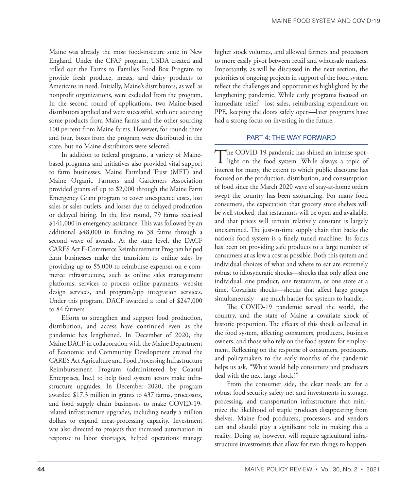Maine was already the most food-insecure state in New England. Under the CFAP program, USDA created and rolled out the Farms to Families Food Box Program to provide fresh produce, meats, and dairy products to Americans in need. Initially, Maine's distributors, as well as nonprofit organizations, were excluded from the program. In the second round of applications, two Maine-based distributors applied and were successful, with one sourcing some products from Maine farms and the other sourcing 100 percent from Maine farms. However, for rounds three and four, boxes from the program were distributed in the state, but no Maine distributors were selected.

In addition to federal programs, a variety of Mainebased programs and initiatives also provided vital support to farm businesses. Maine Farmland Trust (MFT) and Maine Organic Farmers and Gardeners Association provided grants of up to \$2,000 through the Maine Farm Emergency Grant program to cover unexpected costs, lost sales or sales outlets, and losses due to delayed production or delayed hiring. In the first round, 79 farms received \$141,000 in emergency assistance. This was followed by an additional \$48,000 in funding to 38 farms through a second wave of awards. At the state level, the DACF CARES Act E-Commerce Reimbursement Program helped farm businesses make the transition to online sales by providing up to \$5,000 to reimburse expenses on e-commerce infrastructure, such as online sales management platforms, services to process online payments, website design services, and program/app integration services. Under this program, DACF awarded a total of \$247,000 to 84 farmers.

Efforts to strengthen and support food production, distribution, and access have continued even as the pandemic has lengthened. In December of 2020, the Maine DACF in collaboration with the Maine Department of Economic and Community Development created the CARES Act Agriculture and Food Processing Infrastructure Reimbursement Program (administered by Coastal Enterprises, Inc.) to help food system actors make infrastructure upgrades. In December 2020, the program awarded \$17.3 million in grants to 437 farms, processors, and food supply chain businesses to make COVID-19 related infrastructure upgrades, including nearly a million dollars to expand meat-processing capacity. Investment was also directed to projects that increased automation in response to labor shortages, helped operations manage higher stock volumes, and allowed farmers and processors to more easily pivot between retail and wholesale markets. Importantly, as will be discussed in the next section, the priorities of ongoing projects in support of the food system reflect the challenges and opportunities highlighted by the lengthening pandemic. While early programs focused on immediate relief—lost sales, reimbursing expenditure on PPE, keeping the doors safely open—later programs have had a strong focus on investing in the future.

#### PART 4: THE WAY FORWARD

The COVID-19 pandemic has shined an intense spot-<br>light on the food system. While always a topic of interest for many, the extent to which public discourse has focused on the production, distribution, and consumption of food since the March 2020 wave of stay-at-home orders swept the country has been astounding. For many food consumers, the expectation that grocery store shelves will be well stocked, that restaurants will be open and available, and that prices will remain relatively constant is largely unexamined. The just-in-time supply chain that backs the nation's food system is a finely tuned machine. Its focus has been on providing safe products to a large number of consumers at as low a cost as possible. Both this system and individual choices of what and where to eat are extremely robust to idiosyncratic shocks—shocks that only affect one individual, one product, one restaurant, or one store at a time. Covariate shocks—shocks that affect large groups simultaneously—are much harder for systems to handle.

The COVID-19 pandemic served the world, the country, and the state of Maine a covariate shock of historic proportion. The effects of this shock collected in the food system, affecting consumers, producers, business owners, and those who rely on the food system for employment. Reflecting on the response of consumers, producers, and policymakers to the early months of the pandemic helps us ask, "What would help consumers and producers deal with the next large shock?"

From the consumer side, the clear needs are for a robust food security safety net and investments in storage, processing, and transportation infrastructure that minimize the likelihood of staple products disappearing from shelves. Maine food producers, processors, and vendors can and should play a significant role in making this a reality. Doing so, however, will require agricultural infrastructure investments that allow for two things to happen.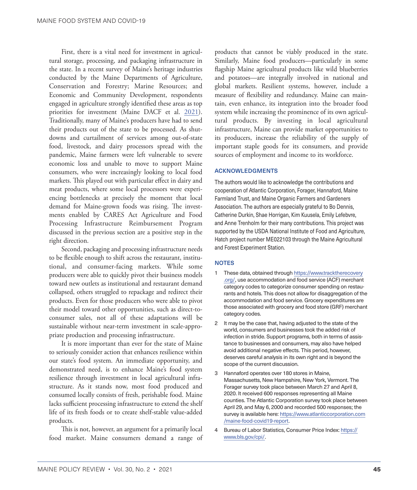<span id="page-13-0"></span>First, there is a vital need for investment in agricultural storage, processing, and packaging infrastructure in the state. In a recent survey of Maine's heritage industries conducted by the Maine Departments of Agriculture, Conservation and Forestry; Marine Resources; and Economic and Community Development, respondents engaged in agriculture strongly identified these areas as top priorities for investment (Maine DACF et al. [2021](#page-14-13)). Traditionally, many of Maine's producers have had to send their products out of the state to be processed. As shutdowns and curtailment of services among out-of-state food, livestock, and dairy processors spread with the pandemic, Maine farmers were left vulnerable to severe economic loss and unable to move to support Maine consumers, who were increasingly looking to local food markets. This played out with particular effect in dairy and meat products, where some local processors were experiencing bottlenecks at precisely the moment that local demand for Maine-grown foods was rising. The investments enabled by CARES Act Agriculture and Food Processing Infrastructure Reimbursement Program discussed in the previous section are a positive step in the right direction.

Second, packaging and processing infrastructure needs to be flexible enough to shift across the restaurant, institutional, and consumer-facing markets. While some producers were able to quickly pivot their business models toward new outlets as institutional and restaurant demand collapsed, others struggled to repackage and redirect their products. Even for those producers who were able to pivot their model toward other opportunities, such as direct-toconsumer sales, not all of these adaptations will be sustainable without near-term investment in scale-appropriate production and processing infrastructure.

It is more important than ever for the state of Maine to seriously consider action that enhances resilience within our state's food system. An immediate opportunity, and demonstrated need, is to enhance Maine's food system resilience through investment in local agricultural infrastructure. As it stands now, most food produced and consumed locally consists of fresh, perishable food. Maine lacks sufficient processing infrastructure to extend the shelf life of its fresh foods or to create shelf-stable value-added products.

This is not, however, an argument for a primarily local food market. Maine consumers demand a range of

products that cannot be viably produced in the state. Similarly, Maine food producers—particularly in some flagship Maine agricultural products like wild blueberries and potatoes—are integrally involved in national and global markets. Resilient systems, however, include a measure of flexibility and redundancy. Maine can maintain, even enhance, its integration into the broader food system while increasing the prominence of its own agricultural products. By investing in local agricultural infrastructure, Maine can provide market opportunities to its producers, increase the reliability of the supply of important staple goods for its consumers, and provide sources of employment and income to its workforce.

#### ACKNOWLEDGMENTS

The authors would like to acknowledge the contributions and cooperation of Atlantic Corporation, Forager, Hannaford, Maine Farmland Trust, and Maine Organic Farmers and Gardeners Association. The authors are especially grateful to Bo Dennis, Catherine Durkin, Shae Horrigan, Kim Kuusela, Emily Lefebvre, and Anne Trenholm for their many contributions. This project was supported by the USDA National Institute of Food and Agriculture, Hatch project number ME022103 through the Maine Agricultural and Forest Experiment Station.

#### **NOTES**

- [1](#page-4-0) These data, obtained through [https://www.tracktherecovery](https://www.tracktherecovery.org/) [.org/](https://www.tracktherecovery.org/), use accommodation and food service (ACF) merchant category codes to categorize consumer spending on restaurants and hotels. This does not allow for disaggregation of the accommodation and food service. Grocery expenditures are those associated with grocery and food store (GRF) merchant category codes.
- [2](#page-4-0) It may be the case that, having adjusted to the state of the world, consumers and businesses took the added risk of infection in stride. Support programs, both in terms of assistance to businesses and consumers, may also have helped avoid additional negative effects. This period, however, deserves careful analysis in its own right and is beyond the scope of the current discussion.
- [3](#page-5-0) Hannaford operates over 180 stores in Maine, Massachusetts, New Hampshire, New York, Vermont. The Forager survey took place between March 27 and April 8, 2020. It received 600 responses representing all Maine counties. The Atlantic Corporation survey took place between April 29, and May 6, 2000 and recorded 500 responses; the survey is available here: [https://www.atlanticcorporation.com](https://www.atlanticcorporation.com/maine-food-covid19-report) [/maine-food-covid19-report](https://www.atlanticcorporation.com/maine-food-covid19-report).
- [4](#page-5-0) Bureau of Labor Statistics, Consumer Price Index: [https://](https://www.bls.gov/cpi/) [www.bls.gov/cpi/.](https://www.bls.gov/cpi/)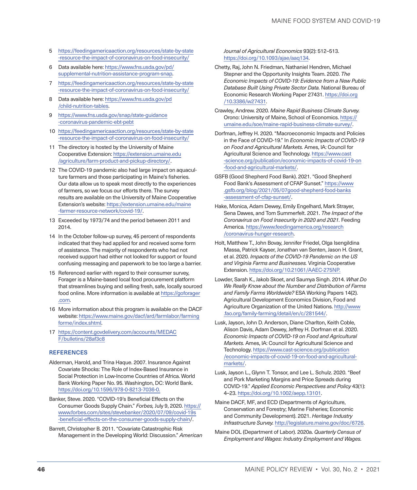- <span id="page-14-10"></span>[5](#page-6-0) [https://feedingamericaaction.org/resources/state-by-state](https://feedingamericaaction.org/resources/state-by-state-resource-the-impact-of-coronavirus-on-food-insecurity/) [-resource-the-impact-of-coronavirus-on-food-insecurity/](https://feedingamericaaction.org/resources/state-by-state-resource-the-impact-of-coronavirus-on-food-insecurity/)
- [6](#page-6-0) Data available here: [https://www.fns.usda.gov/pd/](https://www.fns.usda.gov/pd/supplemental-nutrition-assistance-program-snap) [supplemental-nutrition-assistance-program-snap.](https://www.fns.usda.gov/pd/supplemental-nutrition-assistance-program-snap)
- [7](#page-6-0) [https://feedingamericaaction.org/resources/state-by-state](https://feedingamericaaction.org/resources/state-by-state-resource-the-impact-of-coronavirus-on-food-insecurity/) [-resource-the-impact-of-coronavirus-on-food-insecurity/](https://feedingamericaaction.org/resources/state-by-state-resource-the-impact-of-coronavirus-on-food-insecurity/)
- [8](#page-7-0) Data available here: [https://www.fns.usda.gov/pd](https://www.fns.usda.gov/pd/child-nutrition-tables) [/child-nutrition-tables](https://www.fns.usda.gov/pd/child-nutrition-tables).
- [9](#page-7-0) [https://www.fns.usda.gov/snap/state-guidance](https://www.fns.usda.gov/snap/state-guidance-coronavirus-pandemic-ebt-pebt) [-coronavirus-pandemic-ebt-pebt](https://www.fns.usda.gov/snap/state-guidance-coronavirus-pandemic-ebt-pebt)
- [10](#page-7-0) [https://feedingamericaaction.org/resources/state-by-state](https://feedingamericaaction.org/resources/state-by-state-resource-the-impact-of-coronavirus-on-food-insecurity/) [-resource-the-impact-of-coronavirus-on-food-insecurity/](https://feedingamericaaction.org/resources/state-by-state-resource-the-impact-of-coronavirus-on-food-insecurity/)
- [11](#page-7-0) The directory is hosted by the University of Maine Cooperative Extension: [https://extension.umaine.edu](https://extension.umaine.edu/agriculture/farm-product-and-pickup-directory/) [/agriculture/farm-product-and-pickup-directory/](https://extension.umaine.edu/agriculture/farm-product-and-pickup-directory/).
- [12](#page-7-0) The COVID-19 pandemic also had large impact on aquaculture farmers and those participating in Maine's fisheries. Our data allow us to speak most directly to the experiences of farmers, so we focus our efforts there. The survey results are available on the University of Maine Cooperative Extension's website: [https://extension.umaine.edu/maine](https://extension.umaine.edu/maine-farmer-resource-network/covid-19/) [-farmer-resource-network/covid-19/](https://extension.umaine.edu/maine-farmer-resource-network/covid-19/).
- [13](#page-7-0) Exceeded by 1973/74 and the period between 2011 and 2014.
- [14](#page-8-0) In the October follow-up survey, 45 percent of respondents indicated that they had applied for and received some form of assistance. The majority of respondents who had not received support had either not looked for support or found confusing messaging and paperwork to be too large a barrier.
- [15](#page-9-0) Referenced earlier with regard to their consumer survey, Forager is a Maine-based local food procurement platform that streamlines buying and selling fresh, safe, locally sourced food online. More information is available at [https://goforager](https://goforager.com) [.com](https://goforager.com).
- [16](#page-10-0) More information about this program is available on the DACF website: [https://www.maine.gov/dacf/ard/farmlabor/farming](https://www.maine.gov/dacf/ard/farmlabor/farmingforme/index.shtml) [forme/index.shtml.](https://www.maine.gov/dacf/ard/farmlabor/farmingforme/index.shtml)
- [17](#page-11-0) [https://content.govdelivery.com/accounts/MEDAC](https://content.govdelivery.com/accounts/MEDACF/bulletins/28af3c8) [F/bulletins/28af3c8](https://content.govdelivery.com/accounts/MEDACF/bulletins/28af3c8)

#### **REFERENCES**

- <span id="page-14-2"></span>Alderman, Harold, and Trina Haque. 2007. Insurance Against Covariate Shocks: The Role of Index-Based Insurance in Social Protection in Low-Income Countries of Africa. World Bank Working Paper No. 95. Washington, DC: World Bank. <https://doi.org/10.1596/978-0-8213-7036-0>.
- Banker, Steve. 2020. "COVID-19's Beneficial Effects on the Consumer Goods Supply Chain." *Forbes,* July 9, 2020. [https://](https://www.forbes.com/sites/stevebanker/2020/07/09/covid-19s-beneficial-effects-on-the-consumer-goods-supply-chain/) [www.forbes.com/sites/stevebanker/2020/07/09/covid-19s](https://www.forbes.com/sites/stevebanker/2020/07/09/covid-19s-beneficial-effects-on-the-consumer-goods-supply-chain/) [-beneficial-effects-on-the-consumer-goods-supply-chain/](https://www.forbes.com/sites/stevebanker/2020/07/09/covid-19s-beneficial-effects-on-the-consumer-goods-supply-chain/).
- <span id="page-14-3"></span>Barrett, Christopher B. 2011. "Covariate Catastrophic Risk Management in the Developing World: Discussion." *American*

*Journal of Agricultural Economics* 93(2): 512–513. [https://doi.org/10.1093/ajae/aaq134.](https://doi.org/10.1093/ajae/aaq134)

- <span id="page-14-5"></span>Chetty, Raj, John N. Friedman, Nathaniel Hendren, Michael Stepner and the Opportunity Insights Team. 2020. *The Economic Impacts of COVID-19: Evidence from a New Public Database Built Using Private Sector Data.* National Bureau of Economic Research Working Paper 27431. [https://doi.org](https://doi.org/10.3386/w27431) [/10.3386/w27431](https://doi.org/10.3386/w27431).
- <span id="page-14-6"></span>Crawley, Andrew. 2020. *Maine Rapid Business Climate Survey.* Orono: University of Maine, School of Economics. [https://](https://umaine.edu/soe/maine-rapid-business-climate-survey/) [umaine.edu/soe/maine-rapid-business-climate-survey/](https://umaine.edu/soe/maine-rapid-business-climate-survey/).
- <span id="page-14-4"></span>Dorfman, Jeffrey H. 2020. "Macroeconomic Impacts and Policies in the Face of COVID-19." In *Economic Impacts of COVID-19 on Food and Agricultural Markets.* Ames, IA: Council for Agricultural Science and Technology. [https://www.cast](https://www.cast-science.org/publication/economic-impacts-of-covid-19-on-food-and-agricultural-markets/) [-science.org/publication/economic-impacts-of-covid-19-on](https://www.cast-science.org/publication/economic-impacts-of-covid-19-on-food-and-agricultural-markets/) [-food-and-agricultural-markets/.](https://www.cast-science.org/publication/economic-impacts-of-covid-19-on-food-and-agricultural-markets/)
- <span id="page-14-11"></span>GSFB (Good Shepherd Food Bank). 2021. "Good Shepherd Food Bank's Assessment of CFAP Sunset." [https://www](https://www.gsfb.org/blog/2021/05/07/good-shepherd-food-banks-assessment-of-cfap-sunset/) [.gsfb.org/blog/2021/05/07good-shepherd-food-banks](https://www.gsfb.org/blog/2021/05/07/good-shepherd-food-banks-assessment-of-cfap-sunset/) [-assessment-of-cfap-sunset/](https://www.gsfb.org/blog/2021/05/07/good-shepherd-food-banks-assessment-of-cfap-sunset/).
- <span id="page-14-9"></span>Hake, Monica, Adam Dewey, Emily Engelhard, Mark Strayer, Sena Dawes, and Tom Summerfelt. 2021. *The Impact of the Coronavirus on Food Insecurity in 2020 and 2021.* Feeding America*.* [https://www.feedingamerica.org/research](https://www.feedingamerica.org/research/coronavirus-hunger-research) [/coronavirus-hunger-research.](https://www.feedingamerica.org/research/coronavirus-hunger-research)
- <span id="page-14-12"></span>Holt, Matthew T., John Bovay, Jennifer Friedel, Olga Isengildina Massa, Patrick Kayser, Jonathan van Senten, Jason H. Grant, et al. 2020. *Impacts of the COVID-19 Pandemic on the US and Virginia Farms and Businesses.* Virginia Cooperative Extension. [https://doi.org/10.21061/AAEC-275NP.](https://doi.org/10.21061/AAEC-275NP)
- <span id="page-14-0"></span>Lowder, Sarah K., Jakob Skoet, and Saumya Singh. 2014. *What Do We Really Know about the Number and Distribution of Farms and Family Farms Worldwide?* ESA Working Papers 14(2). Agricultural Development Economics Division, Food and Agriculture Organization of the United Nations. [http://www](http://www.fao.org/family-farming/detail/en/c/281544/) [.fao.org/family-farming/detail/en/c/281544/.](http://www.fao.org/family-farming/detail/en/c/281544/)
- <span id="page-14-8"></span>Lusk, Jayson, John D. Anderson, Diane Charlton, Keith Coble, Alison Davis, Adam Dewey, Jeffrey H. Dorfman et al. 2020. *Economic Impacts of COVID-19 on Food and Agricultural Markets.* Ames, IA: Council for Agricultural Science and Technology. [https://www.cast-science.org/publication](https://www.cast-science.org/publication/economic-impacts-of-covid-19-on-food-and-agricultural-markets/) [/economic-impacts-of-covid-19-on-food-and-agricultural](https://www.cast-science.org/publication/economic-impacts-of-covid-19-on-food-and-agricultural-markets/)[markets/.](https://www.cast-science.org/publication/economic-impacts-of-covid-19-on-food-and-agricultural-markets/)
- <span id="page-14-7"></span>Lusk, Jayson L., Glynn T. Tonsor, and Lee L. Schulz. 2020. "Beef and Pork Marketing Margins and Price Spreads during COVID-19." *Applied Economic Perspectives and Policy* 43(1): 4–23. <https://doi.org/10.1002/aepp.13101>.
- <span id="page-14-13"></span>Maine DACF, MF, and ECD (Departments of Agriculture, Conservation and Forestry; Marine Fisheries; Economic and Community Development). 2021. *Heritage Industry Infrastructure Survey.* [http://legislature.maine.gov/doc/6726.](http://legislature.maine.gov/doc/6726)
- <span id="page-14-1"></span>Maine DOL (Department of Labor). 2020a. *Quarterly Census of Employment and Wages: Industry Employment and Wages.*